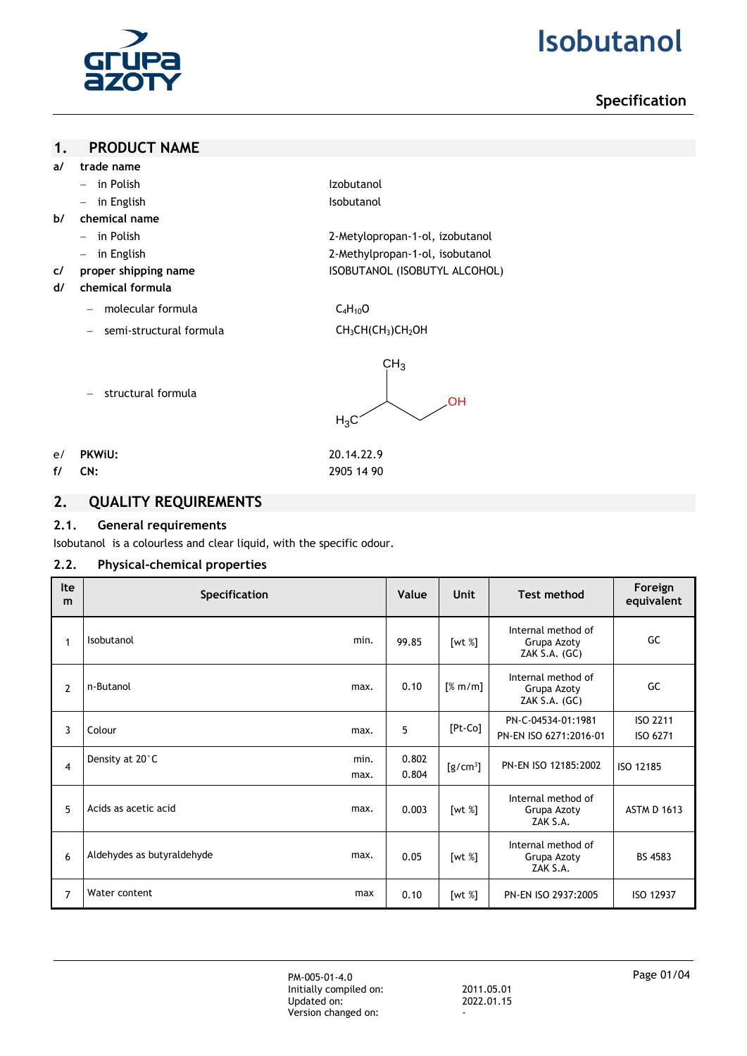

# **2. Isobutanol**

# **Specification**

### **1. PRODUCT NAME**

- **a/ trade name**
	- in Polish Izobutanol
	- in English **Isobutanol**
- **b/ chemical name**
	- in Polish 2-Metylopropan-1-ol, izobutanol
	- in English 2-Methylpropan-1-ol, isobutanol
- **c/ proper shipping name** ISOBUTANOL (ISOBUTYL ALCOHOL)
- **d/ chemical formula**
	- molecular formula C<sub>4</sub>H<sub>10</sub>O
	- semi-structural formula CH<sub>3</sub>CH(CH<sub>3</sub>)CH<sub>2</sub>OH



- structural formula
- e/ **PKWiU:** 20.14.22.9
- 

# **f/ CN:** 2905 14 90

**2. QUALITY REQUIREMENTS**

### **2.1. General requirements**

Isobutanol is a colourless and clear liquid, with the specific odour.

# **2.2. Physical-chemical properties**

| <b>Ite</b><br>m | <b>Specification</b>       |              | Value          | <b>Unit</b>   | <b>Test method</b>                                 | Foreign<br>equivalent |
|-----------------|----------------------------|--------------|----------------|---------------|----------------------------------------------------|-----------------------|
| 1               | Isobutanol                 | min.         | 99.85          | [wt %]        | Internal method of<br>Grupa Azoty<br>ZAK S.A. (GC) | GC                    |
| 2               | n-Butanol                  | max.         | 0.10           | [% m/m]       | Internal method of<br>Grupa Azoty<br>ZAK S.A. (GC) | GC                    |
| 3               | Colour                     | max.         | 5              | $[Pt$ - $Co]$ | PN-C-04534-01:1981<br>PN-EN ISO 6271:2016-01       | ISO 2211<br>ISO 6271  |
| 4               | Density at 20°C            | min.<br>max. | 0.802<br>0.804 | $[g/cm^3]$    | PN-EN ISO 12185:2002                               | ISO 12185             |
| 5               | Acids as acetic acid       | max.         | 0.003          | [wt $%$ ]     | Internal method of<br>Grupa Azoty<br>ZAK S.A.      | <b>ASTM D 1613</b>    |
| 6               | Aldehydes as butyraldehyde | max.         | 0.05           | [wt %]        | Internal method of<br>Grupa Azoty<br>ZAK S.A.      | BS 4583               |
| 7               | Water content              | max          | 0.10           | [wt %]        | PN-EN ISO 2937:2005                                | ISO 12937             |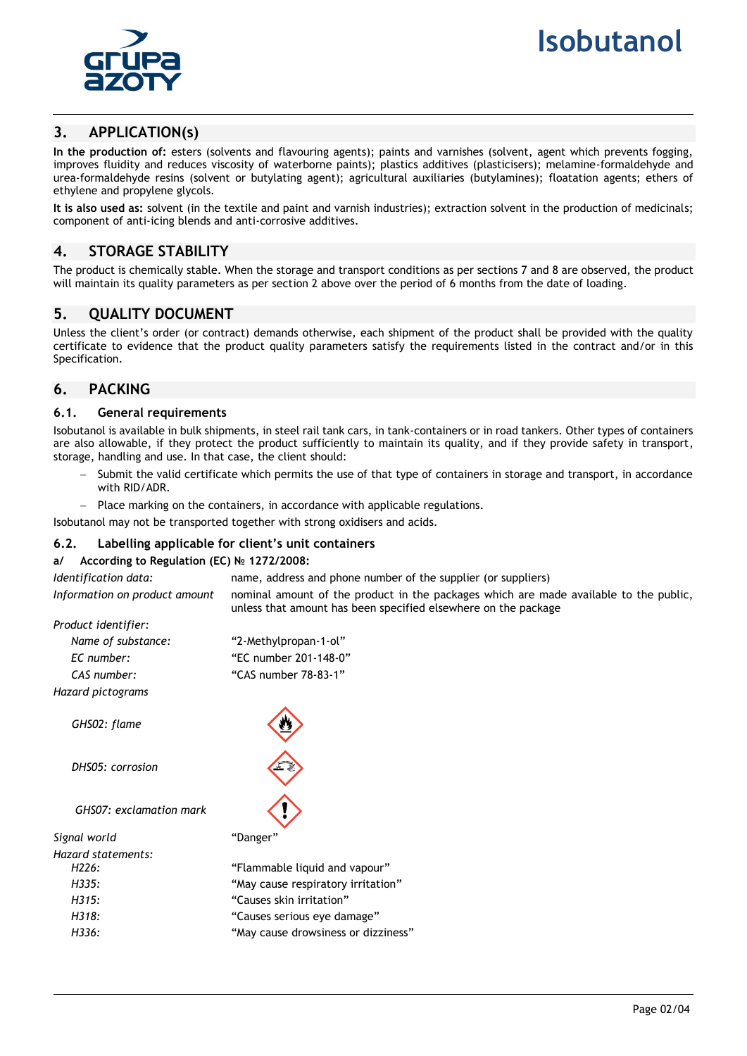

# **3. APPLICATION(s)**

**In the production of:** esters (solvents and flavouring agents); paints and varnishes (solvent, agent which prevents fogging, improves fluidity and reduces viscosity of waterborne paints); plastics additives (plasticisers); melamine-formaldehyde and urea-formaldehyde resins (solvent or butylating agent); agricultural auxiliaries (butylamines); floatation agents; ethers of ethylene and propylene glycols.

**It is also used as:** solvent (in the textile and paint and varnish industries); extraction solvent in the production of medicinals; component of anti-icing blends and anti-corrosive additives.

# **4. STORAGE STABILITY**

The product is chemically stable. When the storage and transport conditions as per sections 7 and 8 are observed, the product will maintain its quality parameters as per section 2 above over the period of 6 months from the date of loading.

# **5. QUALITY DOCUMENT**

Unless the client's order (or contract) demands otherwise, each shipment of the product shall be provided with the quality certificate to evidence that the product quality parameters satisfy the requirements listed in the contract and/or in this Specification.

# **6. PACKING**

### **6.1. General requirements**

Isobutanol is available in bulk shipments, in steel rail tank cars, in tank-containers or in road tankers. Other types of containers are also allowable, if they protect the product sufficiently to maintain its quality, and if they provide safety in transport, storage, handling and use. In that case, the client should:

 Submit the valid certificate which permits the use of that type of containers in storage and transport, in accordance with RID/ADR.

Place marking on the containers, in accordance with applicable regulations.

Isobutanol may not be transported together with strong oxidisers and acids.

### **6.2. Labelling applicable for client's unit containers**

### **a/ According to Regulation (EC) № 1272/2008:**

*Identification data:* name, address and phone number of the supplier (or suppliers) *Information on product amount* nominal amount of the product in the packages which are made available to the public, unless that amount has been specified elsewhere on the package *Product identifier: Name of substance:* "2-Methylpropan-1-ol" *EC number:* "EC number 201-148-0" *CAS number:* "CAS number 78-83-1" *Hazard pictograms GHS02: flame DHS05: corrosion GHS07: exclamation mark Signal world* "Danger" *Hazard statements: H226:* "Flammable liquid and vapour" *H335:* "May cause respiratory irritation" *H315:* "Causes skin irritation" *H318:* "Causes serious eye damage" *H336:* "May cause drowsiness or dizziness"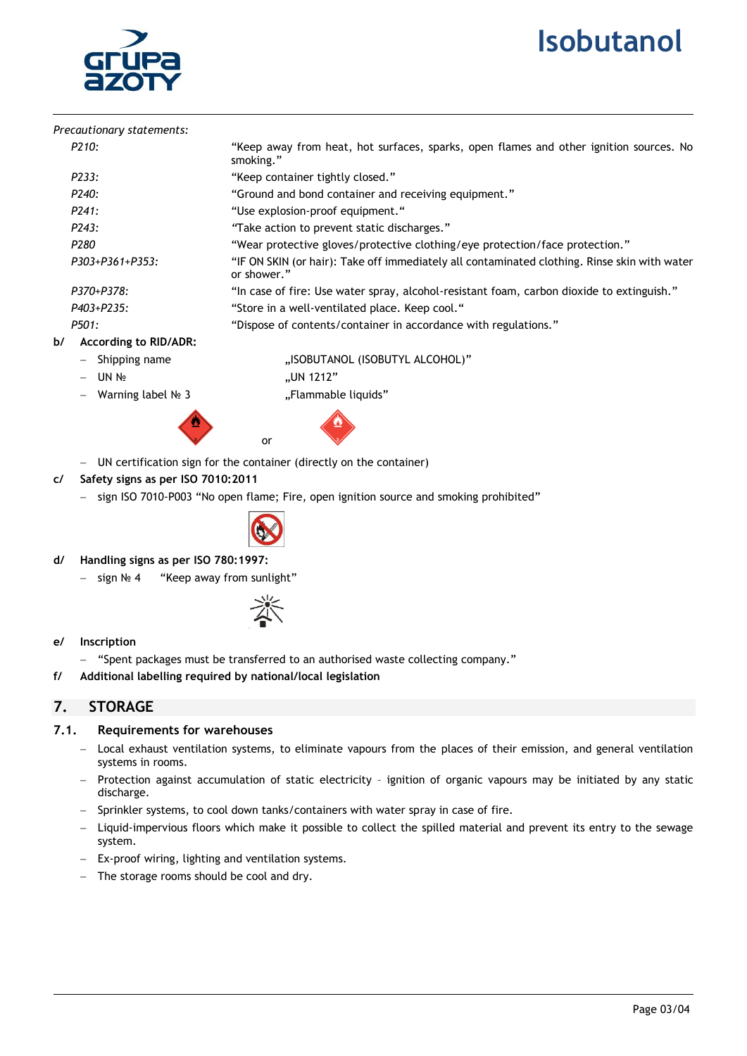# **1. Isobutanol**



| Precautionary statements:          |                                                                                                             |  |  |  |  |
|------------------------------------|-------------------------------------------------------------------------------------------------------------|--|--|--|--|
| P <sub>210</sub> :                 | "Keep away from heat, hot surfaces, sparks, open flames and other ignition sources. No<br>smoking."         |  |  |  |  |
| P233:                              | "Keep container tightly closed."                                                                            |  |  |  |  |
| P240:                              | "Ground and bond container and receiving equipment."                                                        |  |  |  |  |
| P241:                              | "Use explosion-proof equipment."                                                                            |  |  |  |  |
| P <sub>243</sub> :                 | "Take action to prevent static discharges."                                                                 |  |  |  |  |
| P280                               | "Wear protective gloves/protective clothing/eye protection/face protection."                                |  |  |  |  |
| P303+P361+P353:                    | "IF ON SKIN (or hair): Take off immediately all contaminated clothing. Rinse skin with water<br>or shower." |  |  |  |  |
| P370+P378:                         | "In case of fire: Use water spray, alcohol-resistant foam, carbon dioxide to extinguish."                   |  |  |  |  |
| P403+P235:                         | "Store in a well-ventilated place. Keep cool."                                                              |  |  |  |  |
| P501:                              | "Dispose of contents/container in accordance with regulations."                                             |  |  |  |  |
| b/<br><b>According to RID/ADR:</b> |                                                                                                             |  |  |  |  |
| Shipping name<br>$\qquad \qquad -$ | "ISOBUTANOL (ISOBUTYL ALCOHOL)"                                                                             |  |  |  |  |
| $-$ IIN No                         | $\mu$ IIN 1212"                                                                                             |  |  |  |  |

Warning label № 3 "Flammable liquids"



"UN 1212



- UN certification sign for the container (directly on the container)
- **c/ Safety signs as per ISO 7010:2011**
	- sign ISO 7010-P003 "No open flame; Fire, open ignition source and smoking prohibited"



- **d/ Handling signs as per ISO 780:1997:**
	- sign № 4 "Keep away from sunlight"



### **e/ Inscription**

- "Spent packages must be transferred to an authorised waste collecting company."
- **f/ Additional labelling required by national/local legislation**

# **7. STORAGE**

### **7.1. Requirements for warehouses**

- Local exhaust ventilation systems, to eliminate vapours from the places of their emission, and general ventilation systems in rooms.
- Protection against accumulation of static electricity ignition of organic vapours may be initiated by any static discharge.
- Sprinkler systems, to cool down tanks/containers with water spray in case of fire.
- Liquid-impervious floors which make it possible to collect the spilled material and prevent its entry to the sewage system.
- Ex-proof wiring, lighting and ventilation systems.
- The storage rooms should be cool and dry.